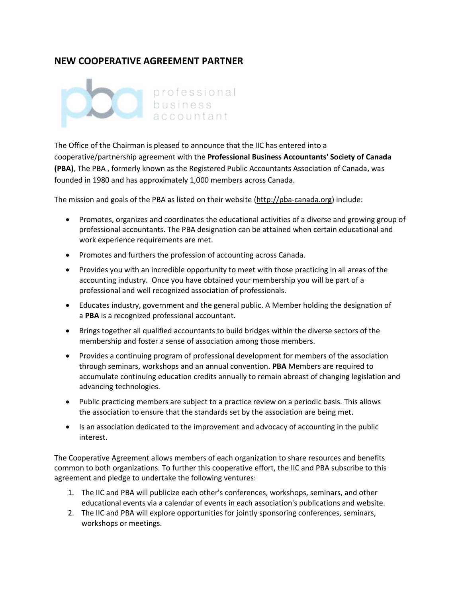## **NEW COOPERATIVE AGREEMENT PARTNER**



The Office of the Chairman is pleased to announce that the IIC has entered into a cooperative/partnership agreement with the **Professional Business Accountants' Society of Canada (PBA)**, The PBA , formerly known as the Registered Public Accountants Association of Canada, was founded in 1980 and has approximately 1,000 members across Canada.

The mission and goals of the PBA as listed on their website [\(http://pba-canada.org\)](http://pba-canada.org/) include:

- Promotes, organizes and coordinates the educational activities of a diverse and growing group of professional accountants. The PBA designation can be attained when certain educational and work experience requirements are met.
- Promotes and furthers the profession of accounting across Canada.
- Provides you with an incredible opportunity to meet with those practicing in all areas of the accounting industry. Once you have obtained your membership you will be part of a professional and well recognized association of professionals.
- Educates industry, government and the general public. A Member holding the designation of a **PBA** is a recognized professional accountant.
- Brings together all qualified accountants to build bridges within the diverse sectors of the membership and foster a sense of association among those members.
- Provides a continuing program of professional development for members of the association through seminars, workshops and an annual convention. **PBA** Members are required to accumulate continuing education credits annually to remain abreast of changing legislation and advancing technologies.
- Public practicing members are subject to a practice review on a periodic basis. This allows the association to ensure that the standards set by the association are being met.
- Is an association dedicated to the improvement and advocacy of accounting in the public interest.

The Cooperative Agreement allows members of each organization to share resources and benefits common to both organizations. To further this cooperative effort, the IIC and PBA subscribe to this agreement and pledge to undertake the following ventures:

- 1. The IIC and PBA will publicize each other's conferences, workshops, seminars, and other educational events via a calendar of events in each association's publications and website.
- 2. The IIC and PBA will explore opportunities for jointly sponsoring conferences, seminars, workshops or meetings.